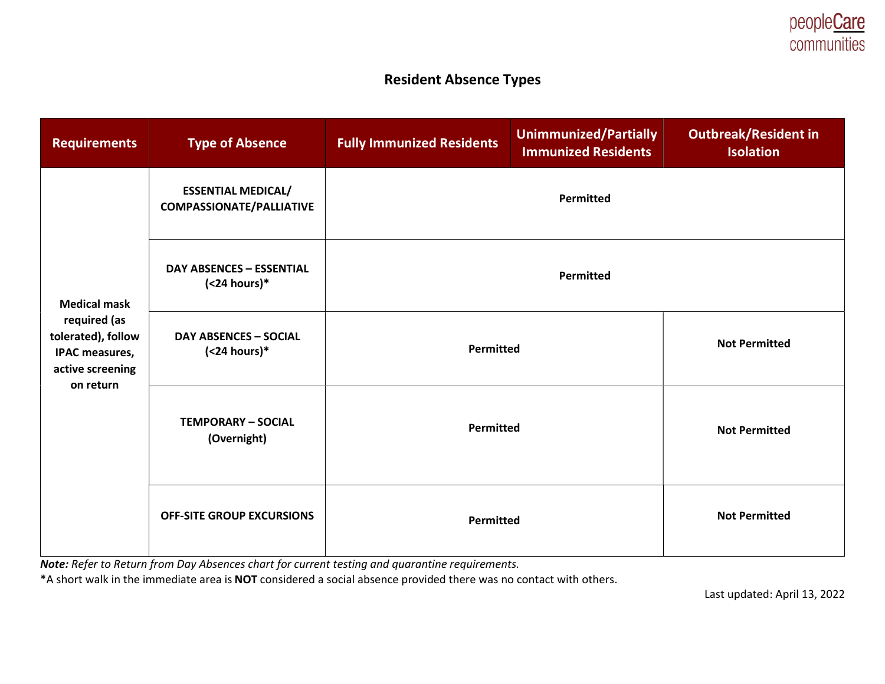## Resident Absence Types

| <b>Requirements</b>                                                                                                 | <b>Type of Absence</b>                                       | <b>Fully Immunized Residents</b> | <b>Unimmunized/Partially</b><br><b>Immunized Residents</b> | <b>Outbreak/Resident in</b><br><b>Isolation</b> |
|---------------------------------------------------------------------------------------------------------------------|--------------------------------------------------------------|----------------------------------|------------------------------------------------------------|-------------------------------------------------|
| <b>Medical mask</b><br>required (as<br>tolerated), follow<br><b>IPAC measures,</b><br>active screening<br>on return | <b>ESSENTIAL MEDICAL/</b><br><b>COMPASSIONATE/PALLIATIVE</b> | Permitted                        |                                                            |                                                 |
|                                                                                                                     | <b>DAY ABSENCES - ESSENTIAL</b><br>$(24 hours)*$             | <b>Permitted</b>                 |                                                            |                                                 |
|                                                                                                                     | <b>DAY ABSENCES - SOCIAL</b><br>$(24 hours)*$                | Permitted                        |                                                            | <b>Not Permitted</b>                            |
|                                                                                                                     | <b>TEMPORARY - SOCIAL</b><br>(Overnight)                     | Permitted                        |                                                            | <b>Not Permitted</b>                            |
|                                                                                                                     | <b>OFF-SITE GROUP EXCURSIONS</b>                             | Permitted                        |                                                            | <b>Not Permitted</b>                            |

Note: Refer to Return from Day Absences chart for current testing and quarantine requirements.

\*A short walk in the immediate area is NOT considered a social absence provided there was no contact with others.

Last updated: April 13, 2022